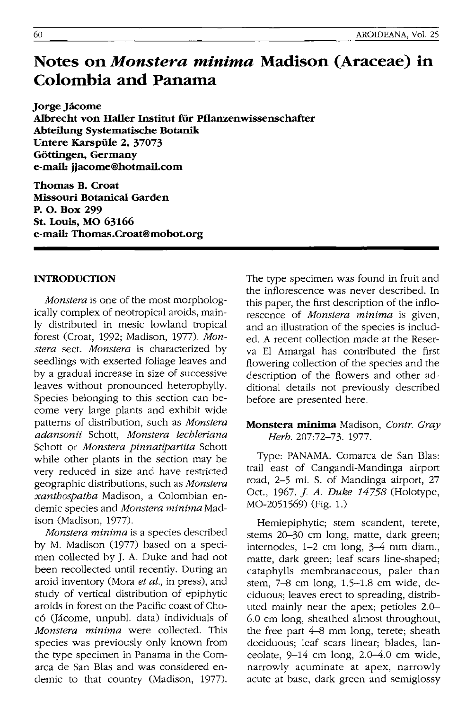# **Notes on** *Monstera minima* **Madison (Araceae) in Colombia and Panama**

**Jorge Jacome**  Albrecht von Haller Institut für Pflanzenwissenschafter **Abteilung Systematische Botanik Untere Karspiile 2, 37073 GOttingen, Germany e-mail: jjacome@hotmail.com** 

**Thomas B. Croat Missouri Botanical Garden P. O. Box 299 St. Louis, MO 63166 e-mail: Thomas.Croat@mobot.org** 

## **INTRODUCTION**

*Monstera* is one of the most morphologically complex of neotropical aroids, mainly distributed in mesic lowland tropical forest (Croat, 1992; Madison, 1977). *Monstera* sect. *Monstera* is characterized by seedlings with exserted foliage leaves and by a gradual increase in size of successive leaves without pronounced heterophylly. Species belonging to this section can become very large plants and exhibit wide patterns of distribution, such as *Monstera adansonii* Schott, *Monstera lechleriana*  Schott or *Monstera pinnatipartita* Schott while other plants in the section may be very reduced in size and have restricted geographic distributions, such as *Monstera xanthospatha* Madison, a Colombian endemic species and *Monstera minima* Madison (Madison, 1977).

*Monstera minima* is a species described by M. Madison (1977) based on a specimen collected by J. A. Duke and had not been recollected until recently. During an aroid inventory (Mora *et aI.,* in press), and study of vertical distribution of epiphytic aroids in forest on the Pacific coast of Chocó (Jácome, unpubl. data) individuals of *Monstera minima* were collected. This species was previously only known from the type specimen in Panama in the Comarca de San BIas and was considered endemic to that country (Madison, 1977). The type specimen was found in fruit and the inflorescence was never described. In this paper, the first description of the inflorescence of *Monstera minima* is given, and an illustration of the species is included. A recent collection made at the Reserva EI Amargal has contributed the first flowering collection of the species and the description of the flowers and other additional details not previously described before are presented here.

## **Monstera minima** Madison, *Contr. Gray Herb.* 207:72-73. 1977.

Type: PANAMA. Comarca de San BIas: trail east of Cangandi-Mandinga airport road, 2-5 mi. S. of Mandinga airport, 27 Oct., 1967. *j. A. Duke* 14758 (Holotype, MO-2051569) (Fig. 1.)

Hemiepiphytic; stem scandent, terete, stems 20-30 cm long, matte, dark green; internodes, 1-2 cm long, 3-4 mm diam., matte, dark green; leaf scars line-shaped; cataphylls membranaceous, paler than stem, 7-8 cm long, 1.5-1.8 cm wide, deciduous; leaves erect to spreading, distributed mainly near the apex; petioles 2.0- 6.0 cm long, sheathed almost throughout, the free part  $4-8$  mm long, terete; sheath deciduous; leaf scars linear; blades, lanceolate, 9-14 cm long, 2.0-4.0 cm wide, narrowly acuminate at apex, narrowly acute at base, dark green and semiglossy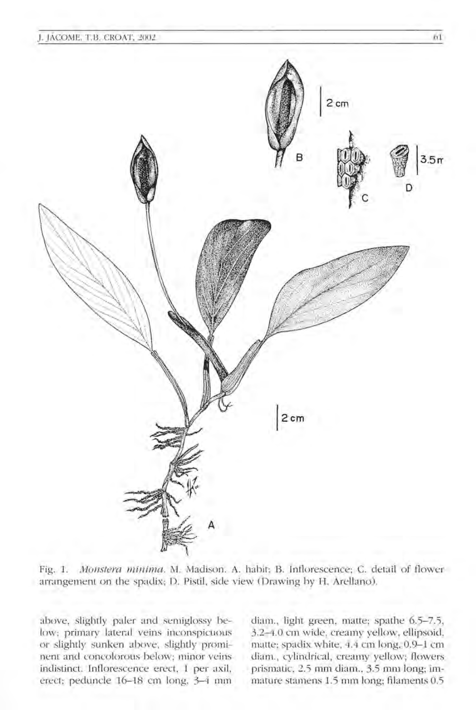

Fig. 1. *Monstera minima*. M. Madison. A. habit; B. Inflorescence; C. detail of flower arrangement on the spadix; D. Pistil, side view (Drawing by H. Arellano).

above, slightly paler and semiglossy below; primary lateral veins inconspicuous or slightly sunken above, slightly prominent and concolorous below; minor veins indistinct. Inflorescence erect, 1 per axil, erect; peduncle 16-18 cm long, 3-4 mm

diam., light green, matte; spathe 6.5-7.5, 3.2-4.0 cm wide, creamy yellow, ellipsoid, matte; spadix white, 4.4 cm long, 0.9-1 cm diam., cylindrical, creamy yellow; flowers prismatic, 2.5 mm diam., 3.5 mm long; immature stamens 1.5 mm long; fllaments 0.5